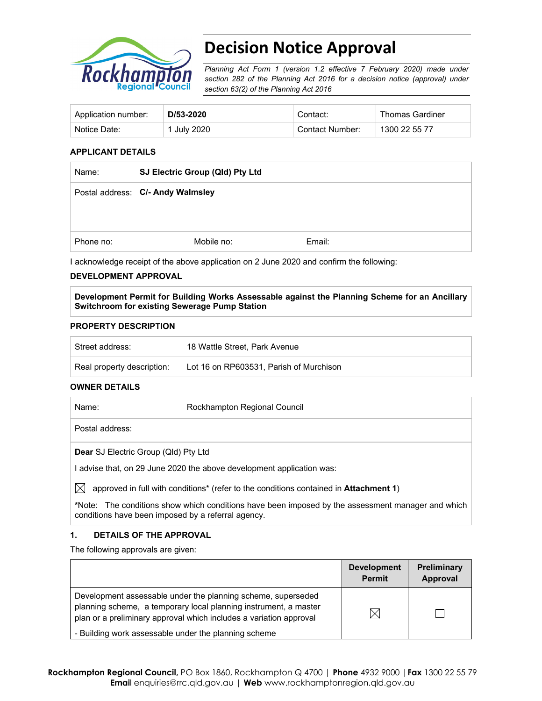

# **Decision Notice Approval**

*Planning Act Form 1 (version 1.2 effective 7 February 2020) made under section 282 of the Planning Act 2016 for a decision notice (approval) under section 63(2) of the Planning Act 2016*

| Application number: | D/53-2020   | Contact:        | <b>Thomas Gardiner</b> |
|---------------------|-------------|-----------------|------------------------|
| Notice Date:        | 1 July 2020 | Contact Number: | 1300 22 55 77          |

## **APPLICANT DETAILS**

| Name:     | SJ Electric Group (Qld) Pty Ltd   |        |
|-----------|-----------------------------------|--------|
|           | Postal address: C/- Andy Walmsley |        |
|           |                                   |        |
| Phone no: | Mobile no:                        | Email: |

I acknowledge receipt of the above application on 2 June 2020 and confirm the following:

## **DEVELOPMENT APPROVAL**

**Development Permit for Building Works Assessable against the Planning Scheme for an Ancillary Switchroom for existing Sewerage Pump Station** 

### **PROPERTY DESCRIPTION**

| Street address:            | 18 Wattle Street, Park Avenue           |
|----------------------------|-----------------------------------------|
| Real property description: | Lot 16 on RP603531, Parish of Murchison |

#### **OWNER DETAILS**

| Name:                                       | Rockhampton Regional Council                                                                              |
|---------------------------------------------|-----------------------------------------------------------------------------------------------------------|
| Postal address:                             |                                                                                                           |
| <b>Dear</b> SJ Electric Group (Qld) Pty Ltd |                                                                                                           |
|                                             | I advise that, on 29 June 2020 the above development application was:                                     |
| $\mathbb{X}$                                | approved in full with conditions <sup>*</sup> (refer to the conditions contained in <b>Attachment 1</b> ) |

**\***Note:The conditions show which conditions have been imposed by the assessment manager and which conditions have been imposed by a referral agency.

## **1. DETAILS OF THE APPROVAL**

The following approvals are given:

|                                                                                                                                                                                                        | <b>Development</b><br><b>Permit</b> | <b>Preliminary</b><br>Approval |
|--------------------------------------------------------------------------------------------------------------------------------------------------------------------------------------------------------|-------------------------------------|--------------------------------|
| Development assessable under the planning scheme, superseded<br>planning scheme, a temporary local planning instrument, a master<br>plan or a preliminary approval which includes a variation approval | $\boxtimes$                         |                                |
| - Building work assessable under the planning scheme                                                                                                                                                   |                                     |                                |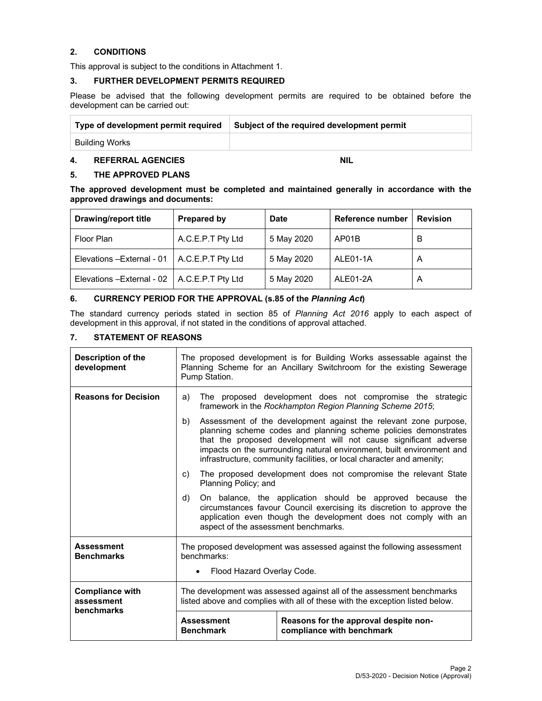## **2. CONDITIONS**

This approval is subject to the conditions in Attachment 1.

#### **3. FURTHER DEVELOPMENT PERMITS REQUIRED**

Please be advised that the following development permits are required to be obtained before the development can be carried out:

| Type of development permit required | Subject of the required development permit |
|-------------------------------------|--------------------------------------------|
| Building Works                      |                                            |

## **4. REFERRAL AGENCIES NIL**

## **5. THE APPROVED PLANS**

**The approved development must be completed and maintained generally in accordance with the approved drawings and documents:** 

| <b>Drawing/report title</b>                    | <b>Prepared by</b> | <b>Date</b> | Reference number | <b>Revision</b> |
|------------------------------------------------|--------------------|-------------|------------------|-----------------|
| Floor Plan                                     | A.C.E.P.T Pty Ltd  | 5 May 2020  | AP01B            | в               |
| Elevations - External - 01                     | A.C.E.P.T Pty Ltd  | 5 May 2020  | ALE01-1A         | A               |
| Elevations - External - 02   A.C.E.P.T Pty Ltd |                    | 5 May 2020  | ALE01-2A         | A               |

## **6. CURRENCY PERIOD FOR THE APPROVAL (s.85 of the** *Planning Act***)**

The standard currency periods stated in section 85 of *Planning Act 2016* apply to each aspect of development in this approval, if not stated in the conditions of approval attached.

## **7. STATEMENT OF REASONS**

| Description of the<br>development                  | The proposed development is for Building Works assessable against the<br>Planning Scheme for an Ancillary Switchroom for the existing Sewerage<br>Pump Station.                                                                                      |                                                                                                                                                                                                                                                                                                                                                           |  |  |
|----------------------------------------------------|------------------------------------------------------------------------------------------------------------------------------------------------------------------------------------------------------------------------------------------------------|-----------------------------------------------------------------------------------------------------------------------------------------------------------------------------------------------------------------------------------------------------------------------------------------------------------------------------------------------------------|--|--|
| <b>Reasons for Decision</b>                        | a)                                                                                                                                                                                                                                                   | The proposed development does not compromise the strategic<br>framework in the Rockhampton Region Planning Scheme 2015;                                                                                                                                                                                                                                   |  |  |
|                                                    | b)                                                                                                                                                                                                                                                   | Assessment of the development against the relevant zone purpose,<br>planning scheme codes and planning scheme policies demonstrates<br>that the proposed development will not cause significant adverse<br>impacts on the surrounding natural environment, built environment and<br>infrastructure, community facilities, or local character and amenity; |  |  |
|                                                    | The proposed development does not compromise the relevant State<br>C)<br>Planning Policy; and                                                                                                                                                        |                                                                                                                                                                                                                                                                                                                                                           |  |  |
|                                                    | On balance, the application should be approved because the<br>d)<br>circumstances favour Council exercising its discretion to approve the<br>application even though the development does not comply with an<br>aspect of the assessment benchmarks. |                                                                                                                                                                                                                                                                                                                                                           |  |  |
| <b>Assessment</b><br><b>Benchmarks</b>             | The proposed development was assessed against the following assessment<br>benchmarks:<br>Flood Hazard Overlay Code.                                                                                                                                  |                                                                                                                                                                                                                                                                                                                                                           |  |  |
|                                                    |                                                                                                                                                                                                                                                      |                                                                                                                                                                                                                                                                                                                                                           |  |  |
| <b>Compliance with</b><br>assessment<br>benchmarks | The development was assessed against all of the assessment benchmarks<br>listed above and complies with all of these with the exception listed below.                                                                                                |                                                                                                                                                                                                                                                                                                                                                           |  |  |
|                                                    | Reasons for the approval despite non-<br><b>Assessment</b><br><b>Benchmark</b><br>compliance with benchmark                                                                                                                                          |                                                                                                                                                                                                                                                                                                                                                           |  |  |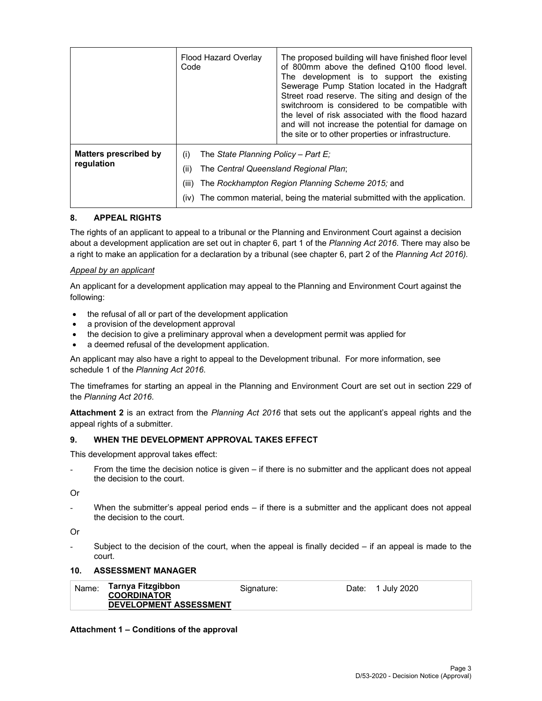|                                     | Flood Hazard Overlay<br>Code | The proposed building will have finished floor level<br>of 800mm above the defined Q100 flood level.<br>The development is to support the existing<br>Sewerage Pump Station located in the Hadgraft<br>Street road reserve. The siting and design of the<br>switchroom is considered to be compatible with<br>the level of risk associated with the flood hazard<br>and will not increase the potential for damage on<br>the site or to other properties or infrastructure. |  |
|-------------------------------------|------------------------------|-----------------------------------------------------------------------------------------------------------------------------------------------------------------------------------------------------------------------------------------------------------------------------------------------------------------------------------------------------------------------------------------------------------------------------------------------------------------------------|--|
| Matters prescribed by<br>regulation | (i)<br>(ii)<br>(iii)<br>(iv) | The State Planning Policy – Part E:<br>The Central Queensland Regional Plan;<br>The Rockhampton Region Planning Scheme 2015; and<br>The common material, being the material submitted with the application.                                                                                                                                                                                                                                                                 |  |

## **8. APPEAL RIGHTS**

The rights of an applicant to appeal to a tribunal or the Planning and Environment Court against a decision about a development application are set out in chapter 6, part 1 of the *Planning Act 2016*. There may also be a right to make an application for a declaration by a tribunal (see chapter 6, part 2 of the *Planning Act 2016).*

## *Appeal by an applicant*

An applicant for a development application may appeal to the Planning and Environment Court against the following:

- the refusal of all or part of the development application
- a provision of the development approval
- the decision to give a preliminary approval when a development permit was applied for
- a deemed refusal of the development application.

An applicant may also have a right to appeal to the Development tribunal. For more information, see schedule 1 of the *Planning Act 2016*.

The timeframes for starting an appeal in the Planning and Environment Court are set out in section 229 of the *Planning Act 2016*.

**Attachment 2** is an extract from the *Planning Act 2016* that sets out the applicant's appeal rights and the appeal rights of a submitter.

## **9. WHEN THE DEVELOPMENT APPROVAL TAKES EFFECT**

This development approval takes effect:

From the time the decision notice is given – if there is no submitter and the applicant does not appeal the decision to the court.

Or

When the submitter's appeal period ends  $-$  if there is a submitter and the applicant does not appeal the decision to the court.

Or

Subject to the decision of the court, when the appeal is finally decided  $-$  if an appeal is made to the court.

## **10. ASSESSMENT MANAGER**

| Name: | Tarnya Fitzgibbon             | Signature: | Date: 1 July 2020 |
|-------|-------------------------------|------------|-------------------|
|       | <b>COORDINATOR</b>            |            |                   |
|       | <b>DEVELOPMENT ASSESSMENT</b> |            |                   |

## **Attachment 1 – Conditions of the approval**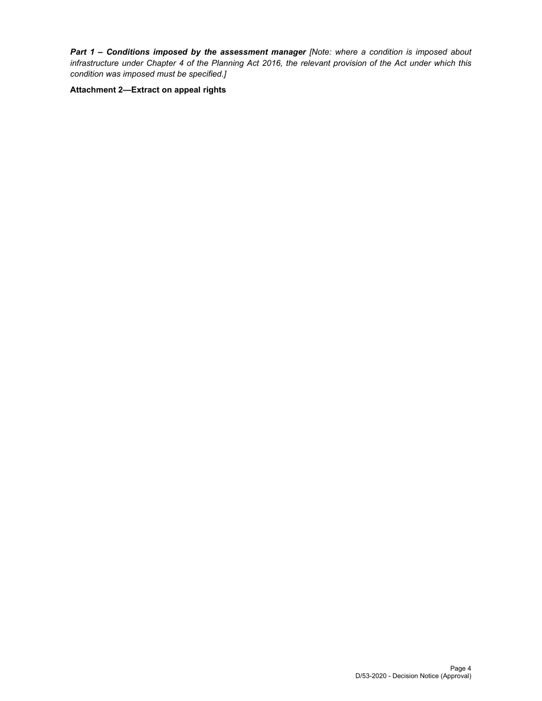*Part 1* **–** *Conditions imposed by the assessment manager [Note: where a condition is imposed about infrastructure under Chapter 4 of the Planning Act 2016, the relevant provision of the Act under which this condition was imposed must be specified.]*

**Attachment 2—Extract on appeal rights**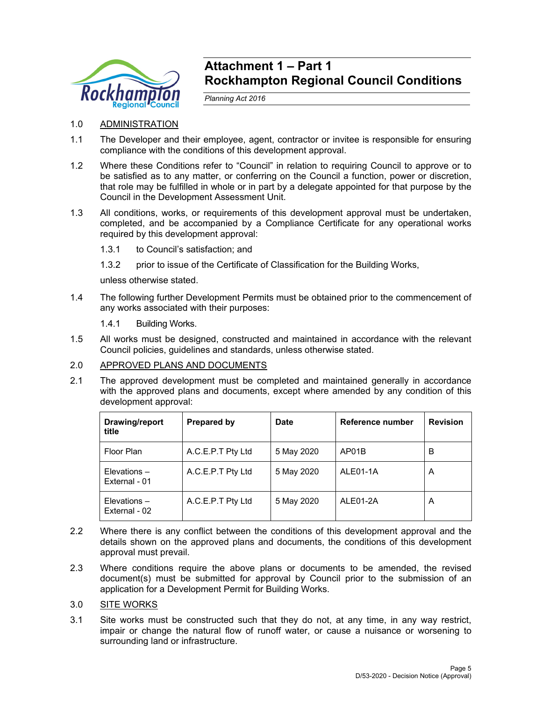

## **Attachment 1 – Part 1 Rockhampton Regional Council Conditions**

*Planning Act 2016* 

## 1.0 ADMINISTRATION

- 1.1 The Developer and their employee, agent, contractor or invitee is responsible for ensuring compliance with the conditions of this development approval.
- 1.2 Where these Conditions refer to "Council" in relation to requiring Council to approve or to be satisfied as to any matter, or conferring on the Council a function, power or discretion, that role may be fulfilled in whole or in part by a delegate appointed for that purpose by the Council in the Development Assessment Unit.
- 1.3 All conditions, works, or requirements of this development approval must be undertaken, completed, and be accompanied by a Compliance Certificate for any operational works required by this development approval:
	- 1.3.1 to Council's satisfaction; and
	- 1.3.2 prior to issue of the Certificate of Classification for the Building Works,

unless otherwise stated.

- 1.4 The following further Development Permits must be obtained prior to the commencement of any works associated with their purposes:
	- 1.4.1 Building Works.
- 1.5 All works must be designed, constructed and maintained in accordance with the relevant Council policies, guidelines and standards, unless otherwise stated.

## 2.0 APPROVED PLANS AND DOCUMENTS

2.1 The approved development must be completed and maintained generally in accordance with the approved plans and documents, except where amended by any condition of this development approval:

| Drawing/report<br>title            | <b>Prepared by</b> | <b>Date</b> | Reference number | <b>Revision</b> |
|------------------------------------|--------------------|-------------|------------------|-----------------|
| Floor Plan                         | A.C.E.P.T Pty Ltd  | 5 May 2020  | AP01B            | В               |
| $E$ levations $-$<br>External - 01 | A.C.E.P.T Pty Ltd  | 5 May 2020  | ALE01-1A         | A               |
| $E$ levations $-$<br>External - 02 | A.C.E.P.T Pty Ltd  | 5 May 2020  | ALE01-2A         | A               |

- 2.2 Where there is any conflict between the conditions of this development approval and the details shown on the approved plans and documents, the conditions of this development approval must prevail.
- 2.3 Where conditions require the above plans or documents to be amended, the revised document(s) must be submitted for approval by Council prior to the submission of an application for a Development Permit for Building Works.
- 3.0 SITE WORKS
- 3.1 Site works must be constructed such that they do not, at any time, in any way restrict, impair or change the natural flow of runoff water, or cause a nuisance or worsening to surrounding land or infrastructure.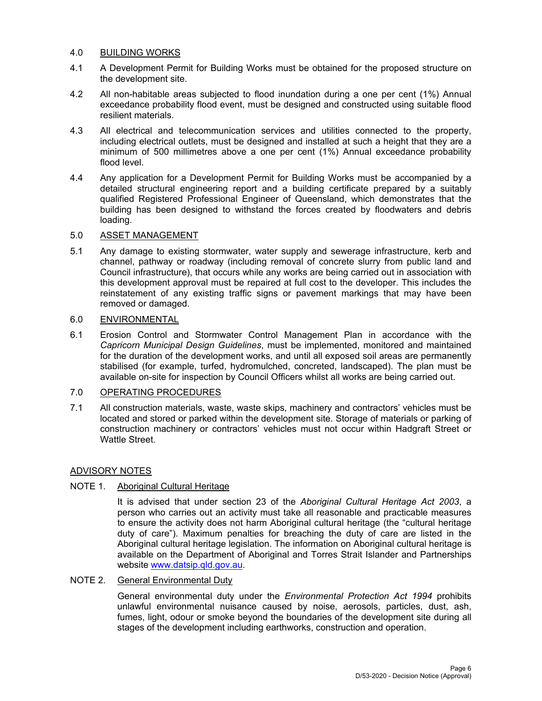## 4.0 BUILDING WORKS

- 4.1 A Development Permit for Building Works must be obtained for the proposed structure on the development site.
- 4.2 All non-habitable areas subjected to flood inundation during a one per cent (1%) Annual exceedance probability flood event, must be designed and constructed using suitable flood resilient materials.
- 4.3 All electrical and telecommunication services and utilities connected to the property, including electrical outlets, must be designed and installed at such a height that they are a minimum of 500 millimetres above a one per cent (1%) Annual exceedance probability flood level.
- 4.4 Any application for a Development Permit for Building Works must be accompanied by a detailed structural engineering report and a building certificate prepared by a suitably qualified Registered Professional Engineer of Queensland, which demonstrates that the building has been designed to withstand the forces created by floodwaters and debris loading.

## 5.0 ASSET MANAGEMENT

5.1 Any damage to existing stormwater, water supply and sewerage infrastructure, kerb and channel, pathway or roadway (including removal of concrete slurry from public land and Council infrastructure), that occurs while any works are being carried out in association with this development approval must be repaired at full cost to the developer. This includes the reinstatement of any existing traffic signs or pavement markings that may have been removed or damaged.

## 6.0 ENVIRONMENTAL

6.1 Erosion Control and Stormwater Control Management Plan in accordance with the *Capricorn Municipal Design Guidelines*, must be implemented, monitored and maintained for the duration of the development works, and until all exposed soil areas are permanently stabilised (for example, turfed, hydromulched, concreted, landscaped). The plan must be available on-site for inspection by Council Officers whilst all works are being carried out.

## 7.0 OPERATING PROCEDURES

7.1 All construction materials, waste, waste skips, machinery and contractors' vehicles must be located and stored or parked within the development site. Storage of materials or parking of construction machinery or contractors' vehicles must not occur within Hadgraft Street or Wattle Street.

## ADVISORY NOTES

## NOTE 1. Aboriginal Cultural Heritage

It is advised that under section 23 of the *Aboriginal Cultural Heritage Act 2003*, a person who carries out an activity must take all reasonable and practicable measures to ensure the activity does not harm Aboriginal cultural heritage (the "cultural heritage duty of care"). Maximum penalties for breaching the duty of care are listed in the Aboriginal cultural heritage legislation. The information on Aboriginal cultural heritage is available on the Department of Aboriginal and Torres Strait Islander and Partnerships website www.datsip.qld.gov.au.

## NOTE 2. General Environmental Duty

General environmental duty under the *Environmental Protection Act 1994* prohibits unlawful environmental nuisance caused by noise, aerosols, particles, dust, ash, fumes, light, odour or smoke beyond the boundaries of the development site during all stages of the development including earthworks, construction and operation.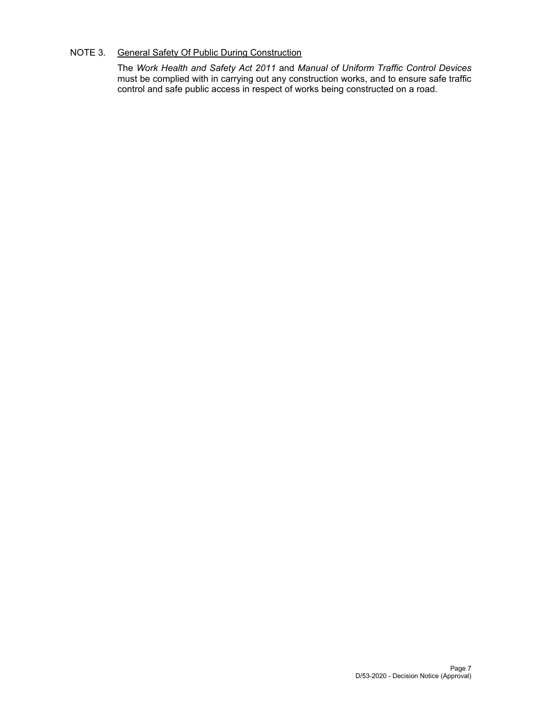## NOTE 3. General Safety Of Public During Construction

The *Work Health and Safety Act 2011* and *Manual of Uniform Traffic Control Devices* must be complied with in carrying out any construction works, and to ensure safe traffic control and safe public access in respect of works being constructed on a road.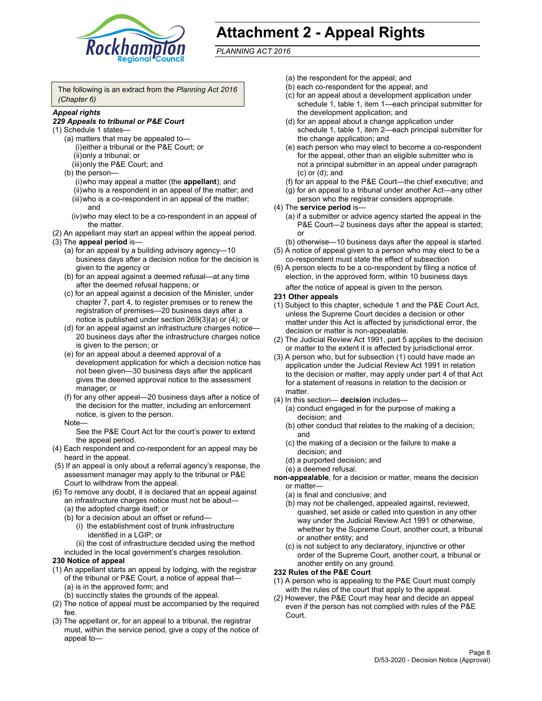

# **Attachment 2 - Appeal Rights**

*PLANNING ACT 2016*

The following is an extract from the *Planning Act 2016 (Chapter 6)*

## *Appeal rights*

#### *229 Appeals to tribunal or P&E Court*

- (1) Schedule 1 states—
	- (a) matters that may be appealed to— (i) either a tribunal or the P&E Court; or (ii) only a tribunal; or (iii) only the P&E Court; and
	- (b) the person—
		- (i) who may appeal a matter (the **appellant**); and
		- (ii) who is a respondent in an appeal of the matter; and (iii) who is a co-respondent in an appeal of the matter; and
		- (iv) who may elect to be a co-respondent in an appeal of the matter.
- (2) An appellant may start an appeal within the appeal period.
- (3) The **appeal period** is—
	- (a) for an appeal by a building advisory agency—10 business days after a decision notice for the decision is given to the agency or
	- (b) for an appeal against a deemed refusal—at any time after the deemed refusal happens; or
	- (c) for an appeal against a decision of the Minister, under chapter 7, part 4, to register premises or to renew the registration of premises—20 business days after a notice is published under section 269(3)(a) or (4); or
	- (d) for an appeal against an infrastructure charges notice— 20 business days after the infrastructure charges notice is given to the person; or
	- (e) for an appeal about a deemed approval of a development application for which a decision notice has not been given—30 business days after the applicant gives the deemed approval notice to the assessment manager; or
	- (f) for any other appeal—20 business days after a notice of the decision for the matter, including an enforcement notice, is given to the person.

#### Note—

See the P&E Court Act for the court's power to extend the appeal period.

- (4) Each respondent and co-respondent for an appeal may be heard in the appeal.
- (5) If an appeal is only about a referral agency's response, the assessment manager may apply to the tribunal or P&E Court to withdraw from the appeal.
- (6) To remove any doubt, it is declared that an appeal against an infrastructure charges notice must not be about— (a) the adopted charge itself; or
	- (b) for a decision about an offset or refund—
		- (i) the establishment cost of trunk infrastructure identified in a LGIP; or
		- (ii) the cost of infrastructure decided using the method
	- included in the local government's charges resolution.

## **230 Notice of appeal**

- (1) An appellant starts an appeal by lodging, with the registrar of the tribunal or P&E Court, a notice of appeal that— (a) is in the approved form; and
	- (b) succinctly states the grounds of the appeal.
- (2) The notice of appeal must be accompanied by the required fee.
- (3) The appellant or, for an appeal to a tribunal, the registrar must, within the service period, give a copy of the notice of appeal to—
- (a) the respondent for the appeal; and
- (b) each co-respondent for the appeal; and
- (c) for an appeal about a development application under schedule 1, table 1, item 1—each principal submitter for the development application; and
- (d) for an appeal about a change application under schedule 1, table 1, item 2—each principal submitter for the change application; and
- (e) each person who may elect to become a co-respondent for the appeal, other than an eligible submitter who is not a principal submitter in an appeal under paragraph (c) or (d); and
- (f) for an appeal to the P&E Court—the chief executive; and
- (g) for an appeal to a tribunal under another Act—any other person who the registrar considers appropriate.
- (4) The **service period** is—
	- (a) if a submitter or advice agency started the appeal in the P&E Court-2 business days after the appeal is started; or
	- (b) otherwise—10 business days after the appeal is started.
- (5) A notice of appeal given to a person who may elect to be a co-respondent must state the effect of subsection
- (6) A person elects to be a co-respondent by filing a notice of election, in the approved form, within 10 business days
	- after the notice of appeal is given to the person*.*
- **231 Other appeals**
- (1) Subject to this chapter, schedule 1 and the P&E Court Act, unless the Supreme Court decides a decision or other matter under this Act is affected by jurisdictional error, the decision or matter is non-appealable.
- (2) The Judicial Review Act 1991, part 5 applies to the decision or matter to the extent it is affected by jurisdictional error.
- (3) A person who, but for subsection (1) could have made an application under the Judicial Review Act 1991 in relation to the decision or matter, may apply under part 4 of that Act for a statement of reasons in relation to the decision or matter.
- (4) In this section— **decision** includes—
	- (a) conduct engaged in for the purpose of making a decision; and
	- (b) other conduct that relates to the making of a decision; and
	- (c) the making of a decision or the failure to make a decision; and
	- (d) a purported decision; and
	- (e) a deemed refusal.

**non-appealable**, for a decision or matter, means the decision or matter—

- (a) is final and conclusive; and
- (b) may not be challenged, appealed against, reviewed, quashed, set aside or called into question in any other way under the Judicial Review Act 1991 or otherwise, whether by the Supreme Court, another court, a tribunal or another entity; and
- (c) is not subject to any declaratory, injunctive or other order of the Supreme Court, another court, a tribunal or another entity on any ground.

#### **232 Rules of the P&E Court**

- (1) A person who is appealing to the P&E Court must comply with the rules of the court that apply to the appeal.
- (2) However, the P&E Court may hear and decide an appeal even if the person has not complied with rules of the P&E Court.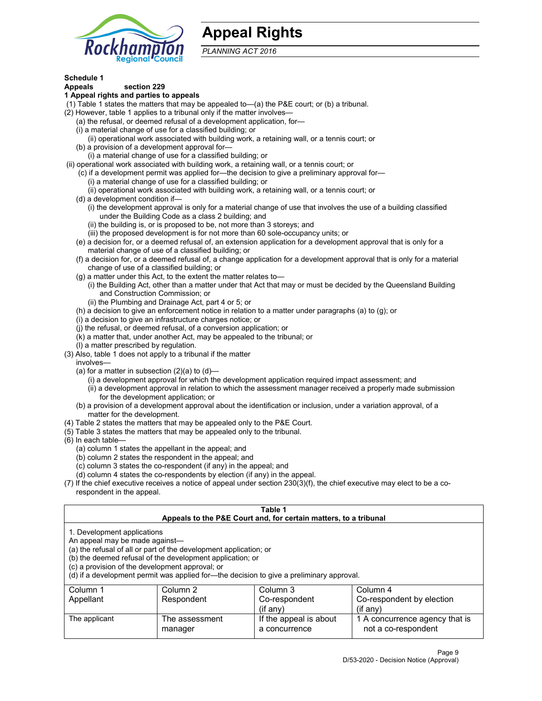

## **Appeal Rights**

*PLANNING ACT 2016*

## **Schedule 1**

## **Appeals section 229**

- **1 Appeal rights and parties to appeals**
- (1) Table 1 states the matters that may be appealed to—(a) the P&E court; or (b) a tribunal.
- (2) However, table 1 applies to a tribunal only if the matter involves—
	- (a) the refusal, or deemed refusal of a development application, for—
	- (i) a material change of use for a classified building; or
	- (ii) operational work associated with building work, a retaining wall, or a tennis court; or
	- (b) a provision of a development approval for—
	- (i) a material change of use for a classified building; or
- (ii) operational work associated with building work, a retaining wall, or a tennis court; or
	- (c) if a development permit was applied for—the decision to give a preliminary approval for— (i) a material change of use for a classified building; or
	- (ii) operational work associated with building work, a retaining wall, or a tennis court; or
	- (d) a development condition if—
		- (i) the development approval is only for a material change of use that involves the use of a building classified under the Building Code as a class 2 building; and
		- (ii) the building is, or is proposed to be, not more than 3 storeys; and
		- (iii) the proposed development is for not more than 60 sole-occupancy units; or
	- (e) a decision for, or a deemed refusal of, an extension application for a development approval that is only for a material change of use of a classified building; or
	- (f) a decision for, or a deemed refusal of, a change application for a development approval that is only for a material change of use of a classified building; or
	- (g) a matter under this Act, to the extent the matter relates to—
		- (i) the Building Act, other than a matter under that Act that may or must be decided by the Queensland Building and Construction Commission; or
		- (ii) the Plumbing and Drainage Act, part 4 or 5; or
	- (h) a decision to give an enforcement notice in relation to a matter under paragraphs (a) to (g); or
	- (i) a decision to give an infrastructure charges notice; or
	- (j) the refusal, or deemed refusal, of a conversion application; or
	- (k) a matter that, under another Act, may be appealed to the tribunal; or
	- (l) a matter prescribed by regulation.
- (3) Also, table 1 does not apply to a tribunal if the matter
	- involves—
		- (a) for a matter in subsection  $(2)(a)$  to  $(d)$ 
			- (i) a development approval for which the development application required impact assessment; and
			- (ii) a development approval in relation to which the assessment manager received a properly made submission for the development application; or
	- (b) a provision of a development approval about the identification or inclusion, under a variation approval, of a matter for the development.
- (4) Table 2 states the matters that may be appealed only to the P&E Court.
- (5) Table 3 states the matters that may be appealed only to the tribunal.
- (6) In each table—
	- (a) column 1 states the appellant in the appeal; and
	- (b) column 2 states the respondent in the appeal; and
	- (c) column 3 states the co-respondent (if any) in the appeal; and
	- (d) column 4 states the co-respondents by election (if any) in the appeal.
- (7) If the chief executive receives a notice of appeal under section 230(3)(f), the chief executive may elect to be a corespondent in the appeal.

| Table 1<br>Appeals to the P&E Court and, for certain matters, to a tribunal                                      |                                                                                                                                |                                                                                          |                                                       |  |
|------------------------------------------------------------------------------------------------------------------|--------------------------------------------------------------------------------------------------------------------------------|------------------------------------------------------------------------------------------|-------------------------------------------------------|--|
| 1. Development applications<br>An appeal may be made against-<br>(c) a provision of the development approval; or | (a) the refusal of all or part of the development application; or<br>(b) the deemed refusal of the development application; or | (d) if a development permit was applied for—the decision to give a preliminary approval. |                                                       |  |
| Column 1                                                                                                         | Column 2                                                                                                                       | Column 3                                                                                 | Column 4                                              |  |
| Appellant                                                                                                        | Co-respondent<br>Respondent<br>Co-respondent by election                                                                       |                                                                                          |                                                       |  |
| $(if$ any)<br>$($ if any $)$                                                                                     |                                                                                                                                |                                                                                          |                                                       |  |
| The applicant                                                                                                    | The assessment<br>manager                                                                                                      | If the appeal is about<br>a concurrence                                                  | 1 A concurrence agency that is<br>not a co-respondent |  |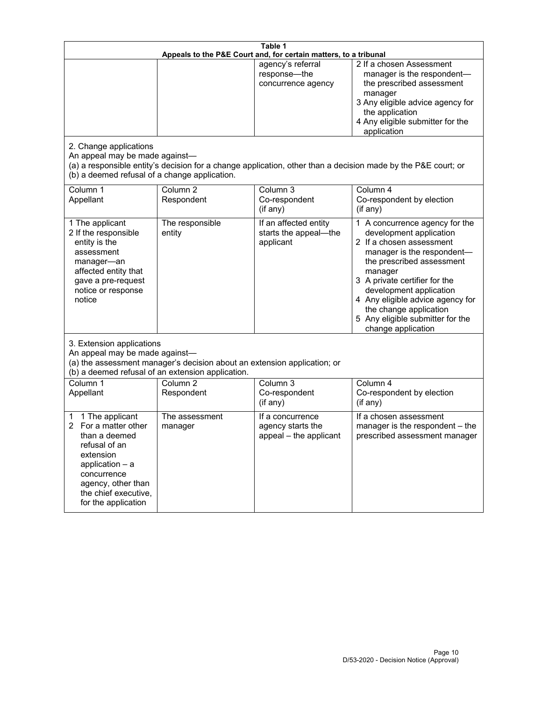| Table 1<br>Appeals to the P&E Court and, for certain matters, to a tribunal                                                                                                                             |                                   |                                                                 |                                                                                                                                                                                                                                                                                                                                                 |  |
|---------------------------------------------------------------------------------------------------------------------------------------------------------------------------------------------------------|-----------------------------------|-----------------------------------------------------------------|-------------------------------------------------------------------------------------------------------------------------------------------------------------------------------------------------------------------------------------------------------------------------------------------------------------------------------------------------|--|
| 2. Change applications<br>An appeal may be made against-<br>(b) a deemed refusal of a change application.                                                                                               |                                   | agency's referral<br>response-the<br>concurrence agency         | 2 If a chosen Assessment<br>manager is the respondent-<br>the prescribed assessment<br>manager<br>3 Any eligible advice agency for<br>the application<br>4 Any eligible submitter for the<br>application<br>(a) a responsible entity's decision for a change application, other than a decision made by the P&E court; or                       |  |
| Column 1<br>Appellant                                                                                                                                                                                   | Column <sub>2</sub><br>Respondent | Column 3<br>Co-respondent<br>(if any)                           | Column 4<br>Co-respondent by election<br>(if any)                                                                                                                                                                                                                                                                                               |  |
| 1 The applicant<br>2 If the responsible<br>entity is the<br>assessment<br>manager-an<br>affected entity that<br>gave a pre-request<br>notice or response<br>notice                                      | The responsible<br>entity         | If an affected entity<br>starts the appeal-the<br>applicant     | 1 A concurrence agency for the<br>development application<br>2 If a chosen assessment<br>manager is the respondent-<br>the prescribed assessment<br>manager<br>3 A private certifier for the<br>development application<br>4 Any eligible advice agency for<br>the change application<br>5 Any eligible submitter for the<br>change application |  |
| 3. Extension applications<br>An appeal may be made against-<br>(a) the assessment manager's decision about an extension application; or<br>(b) a deemed refusal of an extension application.            |                                   |                                                                 |                                                                                                                                                                                                                                                                                                                                                 |  |
| Column 1<br>Appellant                                                                                                                                                                                   | Column <sub>2</sub><br>Respondent | Column 3<br>Co-respondent<br>(if any)                           | Column 4<br>Co-respondent by election<br>(if any)                                                                                                                                                                                                                                                                                               |  |
| 1 The applicant<br>1<br>For a matter other<br>2<br>than a deemed<br>refusal of an<br>extension<br>application $-$ a<br>concurrence<br>agency, other than<br>the chief executive,<br>for the application | The assessment<br>manager         | If a concurrence<br>agency starts the<br>appeal - the applicant | If a chosen assessment<br>manager is the respondent - the<br>prescribed assessment manager                                                                                                                                                                                                                                                      |  |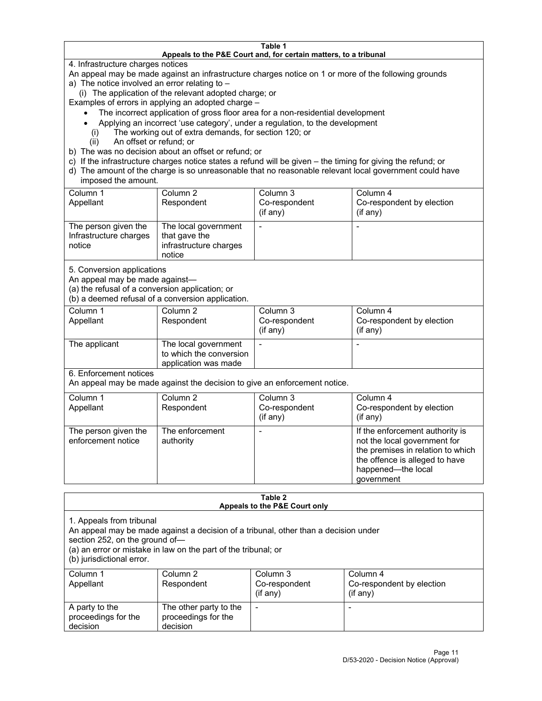#### **Table 1 Appeals to the P&E Court and, for certain matters, to a tribunal**

4. Infrastructure charges notices

An appeal may be made against an infrastructure charges notice on 1 or more of the following grounds

- a) The notice involved an error relating to
	- (i) The application of the relevant adopted charge; or

Examples of errors in applying an adopted charge –

- The incorrect application of gross floor area for a non-residential development
- Applying an incorrect 'use category', under a regulation, to the development
- (i) The working out of extra demands, for section 120; or
- (ii) An offset or refund; or
- b) The was no decision about an offset or refund; or
- c) If the infrastructure charges notice states a refund will be given the timing for giving the refund; or
- d) The amount of the charge is so unreasonable that no reasonable relevant local government could have imposed the amount.

| Column 1<br>Appellant                                    | Column 2<br>Respondent                                                    | Column 3<br>Co-respondent<br>(if any) | Column 4<br>Co-respondent by election<br>(if any) |
|----------------------------------------------------------|---------------------------------------------------------------------------|---------------------------------------|---------------------------------------------------|
| The person given the<br>Infrastructure charges<br>notice | The local government<br>that gave the<br>infrastructure charges<br>notice |                                       |                                                   |

5. Conversion applications

An appeal may be made against—

(a) the refusal of a conversion application; or

(b) a deemed refusal of a conversion application.

| Column 1      | Column 2                | Column 3       | Column 4                  |
|---------------|-------------------------|----------------|---------------------------|
| Appellant     | Respondent              | Co-respondent  | Co-respondent by election |
|               |                         | $($ if any $)$ | $($ if any $)$            |
|               |                         |                |                           |
| The applicant | The local government    |                |                           |
|               | to which the conversion |                |                           |
|               | application was made    |                |                           |

6. Enforcement notices

An appeal may be made against the decision to give an enforcement notice.

| Column 1<br>Appellant                      | Column 2<br>Respondent       | Column 3<br>Co-respondent<br>(if any) | Column 4<br>Co-respondent by election<br>(i f any)                                                                                                                         |
|--------------------------------------------|------------------------------|---------------------------------------|----------------------------------------------------------------------------------------------------------------------------------------------------------------------------|
| The person given the<br>enforcement notice | The enforcement<br>authority |                                       | If the enforcement authority is<br>not the local government for<br>the premises in relation to which<br>the offence is alleged to have<br>happened-the local<br>government |

#### **Table 2 Appeals to the P&E Court only**

1. Appeals from tribunal

An appeal may be made against a decision of a tribunal, other than a decision under

section 252, on the ground of—

(a) an error or mistake in law on the part of the tribunal; or

(b) jurisdictional error.

| Column 1<br>Appellant                             | Column 2<br>Respondent                                    | Column 3<br>Co-respondent<br>$(if$ any) | Column 4<br>Co-respondent by election<br>$(if$ any) |
|---------------------------------------------------|-----------------------------------------------------------|-----------------------------------------|-----------------------------------------------------|
| A party to the<br>proceedings for the<br>decision | The other party to the<br>proceedings for the<br>decision | $\overline{\phantom{a}}$                |                                                     |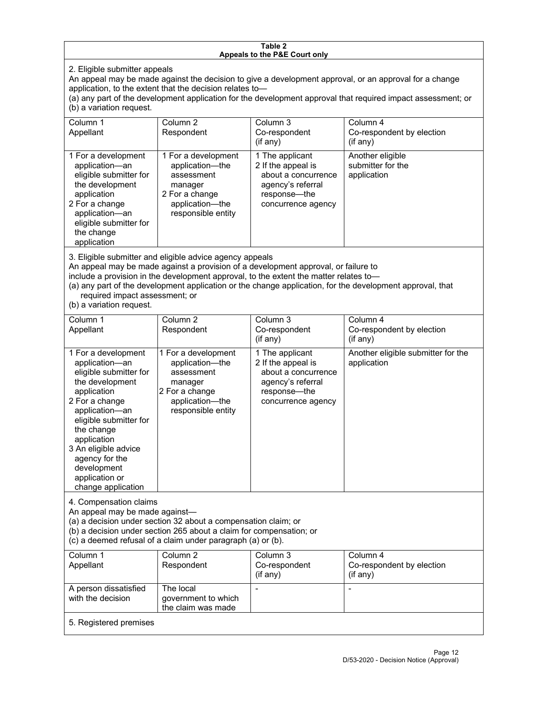#### **Table 2 Appeals to the P&E Court only**

2. Eligible submitter appeals

An appeal may be made against the decision to give a development approval, or an approval for a change application, to the extent that the decision relates to—

(a) any part of the development application for the development approval that required impact assessment; or (b) a variation request.

| Column 1<br>Appellant                                                                                                                                                                        | Column 2<br>Respondent                                                                                                     | Column 3<br>Co-respondent<br>(if any)                                                                                   | Column 4<br>Co-respondent by election<br>(if any)    |
|----------------------------------------------------------------------------------------------------------------------------------------------------------------------------------------------|----------------------------------------------------------------------------------------------------------------------------|-------------------------------------------------------------------------------------------------------------------------|------------------------------------------------------|
| 1 For a development<br>application-an<br>eligible submitter for<br>the development<br>application<br>2 For a change<br>application-an<br>eligible submitter for<br>the change<br>application | 1 For a development<br>application—the<br>assessment<br>manager<br>2 For a change<br>application-the<br>responsible entity | 1 The applicant<br>2 If the appeal is<br>about a concurrence<br>agency's referral<br>response—the<br>concurrence agency | Another eligible<br>submitter for the<br>application |

3. Eligible submitter and eligible advice agency appeals

An appeal may be made against a provision of a development approval, or failure to

include a provision in the development approval, to the extent the matter relates to—

(a) any part of the development application or the change application, for the development approval, that required impact assessment; or

(b) a variation request.

| Column 1<br>Appellant                                                                                                                                                                                                                                                                         | Column <sub>2</sub><br>Respondent                                                                                          | Column <sub>3</sub><br>Co-respondent<br>(if any)                                                                        | Column 4<br>Co-respondent by election<br>(if any) |
|-----------------------------------------------------------------------------------------------------------------------------------------------------------------------------------------------------------------------------------------------------------------------------------------------|----------------------------------------------------------------------------------------------------------------------------|-------------------------------------------------------------------------------------------------------------------------|---------------------------------------------------|
| 1 For a development<br>application-an<br>eligible submitter for<br>the development<br>application<br>2 For a change<br>application-an<br>eligible submitter for<br>the change<br>application<br>3 An eligible advice<br>agency for the<br>development<br>application or<br>change application | 1 For a development<br>application-the<br>assessment<br>manager<br>2 For a change<br>application-the<br>responsible entity | 1 The applicant<br>2 If the appeal is<br>about a concurrence<br>agency's referral<br>response-the<br>concurrence agency | Another eligible submitter for the<br>application |
| 4. Compensation claims<br>An appeal may be made against-<br>(a) a decision under section 32 about a compensation claim; or<br>(b) a decision under section 265 about a claim for compensation; or<br>(c) a deemed refusal of a claim under paragraph (a) or (b).                              |                                                                                                                            |                                                                                                                         |                                                   |
| Column <sub>1</sub><br>Appellant                                                                                                                                                                                                                                                              | Column <sub>2</sub><br>Respondent                                                                                          | Column 3<br>Co-respondent<br>(if any)                                                                                   | Column 4<br>Co-respondent by election<br>(if any) |
| A person dissatisfied<br>with the decision                                                                                                                                                                                                                                                    | The local<br>government to which<br>the claim was made                                                                     |                                                                                                                         |                                                   |
| 5. Registered premises                                                                                                                                                                                                                                                                        |                                                                                                                            |                                                                                                                         |                                                   |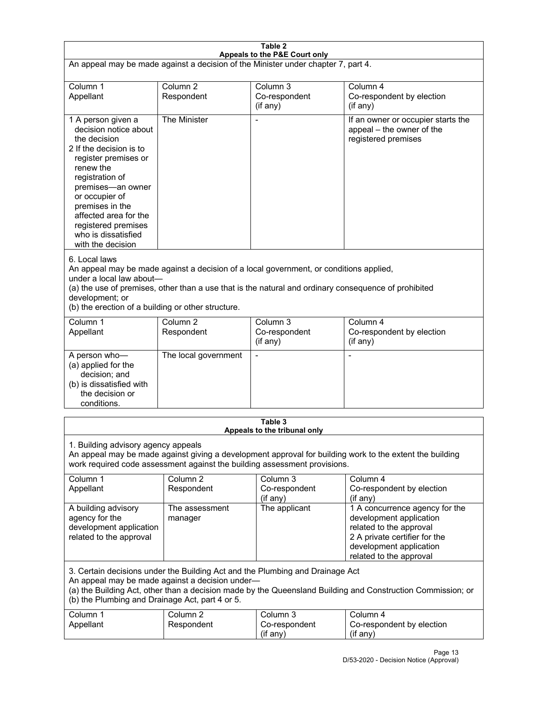| Table 2<br>Appeals to the P&E Court only                                                                                                                                                                                                                                                                             |                                   |                                         |                                                                                                                                                                             |  |
|----------------------------------------------------------------------------------------------------------------------------------------------------------------------------------------------------------------------------------------------------------------------------------------------------------------------|-----------------------------------|-----------------------------------------|-----------------------------------------------------------------------------------------------------------------------------------------------------------------------------|--|
| An appeal may be made against a decision of the Minister under chapter 7, part 4.                                                                                                                                                                                                                                    |                                   |                                         |                                                                                                                                                                             |  |
| Column 1<br>Appellant                                                                                                                                                                                                                                                                                                | Column <sub>2</sub><br>Respondent | Column 3<br>Co-respondent<br>(if any)   | Column 4<br>Co-respondent by election<br>(if any)                                                                                                                           |  |
| 1 A person given a<br>decision notice about<br>the decision<br>2 If the decision is to<br>register premises or<br>renew the<br>registration of<br>premises-an owner<br>or occupier of<br>premises in the<br>affected area for the<br>registered premises<br>who is dissatisfied<br>with the decision                 | The Minister                      | Ĭ.                                      | If an owner or occupier starts the<br>appeal - the owner of the<br>registered premises                                                                                      |  |
| 6. Local laws<br>An appeal may be made against a decision of a local government, or conditions applied,<br>under a local law about-<br>(a) the use of premises, other than a use that is the natural and ordinary consequence of prohibited<br>development; or<br>(b) the erection of a building or other structure. |                                   |                                         |                                                                                                                                                                             |  |
| Column 1<br>Appellant                                                                                                                                                                                                                                                                                                | Column <sub>2</sub><br>Respondent | Column 3<br>Co-respondent<br>(if any)   | Column 4<br>Co-respondent by election<br>(if any)                                                                                                                           |  |
| A person who-<br>(a) applied for the<br>decision; and<br>(b) is dissatisfied with<br>the decision or<br>conditions.                                                                                                                                                                                                  | The local government              | L,                                      | $\overline{a}$                                                                                                                                                              |  |
|                                                                                                                                                                                                                                                                                                                      |                                   | Table 3<br>Appeals to the tribunal only |                                                                                                                                                                             |  |
| 1. Building advisory agency appeals<br>An appeal may be made against giving a development approval for building work to the extent the building<br>work required code assessment against the building assessment provisions.                                                                                         |                                   |                                         |                                                                                                                                                                             |  |
| Column 1<br>Appellant                                                                                                                                                                                                                                                                                                | Column <sub>2</sub><br>Respondent | Column 3<br>Co-respondent<br>(if any)   | Column 4<br>Co-respondent by election<br>(if any)                                                                                                                           |  |
| A building advisory<br>agency for the<br>development application<br>related to the approval                                                                                                                                                                                                                          | The assessment<br>manager         | The applicant                           | 1 A concurrence agency for the<br>development application<br>related to the approval<br>2 A private certifier for the<br>development application<br>related to the approval |  |
| 3. Certain decisions under the Building Act and the Plumbing and Drainage Act<br>An appeal may be made against a decision under-<br>(a) the Building Act, other than a decision made by the Queensland Building and Construction Commission; or<br>(b) the Plumbing and Drainage Act, part 4 or 5.                   |                                   |                                         |                                                                                                                                                                             |  |
| Column 1<br>Appellant                                                                                                                                                                                                                                                                                                | Column <sub>2</sub><br>Respondent | Column 3<br>Co-respondent<br>(if any)   | Column 4<br>Co-respondent by election<br>(if any)                                                                                                                           |  |